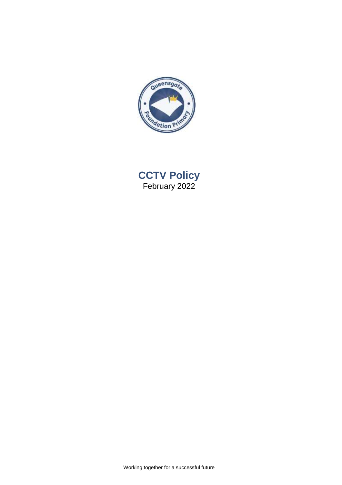

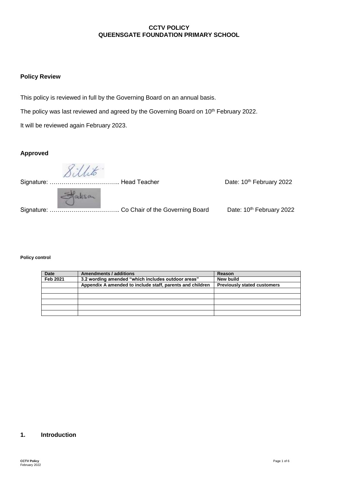## **CCTV POLICY QUEENSGATE FOUNDATION PRIMARY SCHOOL**

### **Policy Review**

This policy is reviewed in full by the Governing Board on an annual basis.

The policy was last reviewed and agreed by the Governing Board on 10<sup>th</sup> February 2022.

It will be reviewed again February 2023.

### **Approved**

 Signature: …………………………………… Head Teacher \_\_\_\_\_\_\_\_\_\_\_\_\_\_\_\_\_\_\_\_\_\_\_Date: 10<sup>th</sup> February 2022 Statisan Signature: …………………………….. Co Chair of the Governing Board Date: 10th February 2022

#### **Policy control**

| <b>Date</b>     | Amendments / additions                                    | Reason                             |
|-----------------|-----------------------------------------------------------|------------------------------------|
| <b>Feb 2021</b> | 3.2 wording amended "which includes outdoor areas"        | <b>New build</b>                   |
|                 | Appendix A amended to include staff, parents and children | <b>Previously stated customers</b> |
|                 |                                                           |                                    |
|                 |                                                           |                                    |
|                 |                                                           |                                    |
|                 |                                                           |                                    |
|                 |                                                           |                                    |

### **1. Introduction**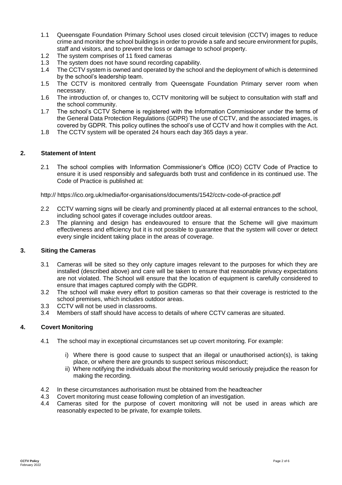- 1.1 Queensgate Foundation Primary School uses closed circuit television (CCTV) images to reduce crime and monitor the school buildings in order to provide a safe and secure environment for pupils, staff and visitors, and to prevent the loss or damage to school property.
- 1.2 The system comprises of 11 fixed cameras
- 1.3 The system does not have sound recording capability.
- 1.4 The CCTV system is owned and operated by the school and the deployment of which is determined by the school's leadership team.
- 1.5 The CCTV is monitored centrally from Queensgate Foundation Primary server room when necessary.
- 1.6 The introduction of, or changes to, CCTV monitoring will be subject to consultation with staff and the school community.
- 1.7 The school's CCTV Scheme is registered with the Information Commissioner under the terms of the General Data Protection Regulations (GDPR) The use of CCTV, and the associated images, is covered by GDPR. This policy outlines the school's use of CCTV and how it complies with the Act.
- 1.8 The CCTV system will be operated 24 hours each day 365 days a year.

### **2. Statement of Intent**

2.1 The school complies with Information Commissioner's Office (ICO) CCTV Code of Practice to ensure it is used responsibly and safeguards both trust and confidence in its continued use. The Code of Practice is published at:

http:// https://ico.org.uk/media/for-organisations/documents/1542/cctv-code-of-practice.pdf

- 2.2 CCTV warning signs will be clearly and prominently placed at all external entrances to the school, including school gates if coverage includes outdoor areas.
- 2.3 The planning and design has endeavoured to ensure that the Scheme will give maximum effectiveness and efficiency but it is not possible to guarantee that the system will cover or detect every single incident taking place in the areas of coverage.

### **3. Siting the Cameras**

- 3.1 Cameras will be sited so they only capture images relevant to the purposes for which they are installed (described above) and care will be taken to ensure that reasonable privacy expectations are not violated. The School will ensure that the location of equipment is carefully considered to ensure that images captured comply with the GDPR.
- 3.2 The school will make every effort to position cameras so that their coverage is restricted to the school premises, which includes outdoor areas.
- 3.3 CCTV will not be used in classrooms.
- 3.4 Members of staff should have access to details of where CCTV cameras are situated.

#### **4. Covert Monitoring**

- 4.1 The school may in exceptional circumstances set up covert monitoring. For example:
	- i) Where there is good cause to suspect that an illegal or unauthorised action(s), is taking place, or where there are grounds to suspect serious misconduct;
	- ii) Where notifying the individuals about the monitoring would seriously prejudice the reason for making the recording.
- 4.2 In these circumstances authorisation must be obtained from the headteacher
- 4.3 Covert monitoring must cease following completion of an investigation.
- 4.4 Cameras sited for the purpose of covert monitoring will not be used in areas which are reasonably expected to be private, for example toilets.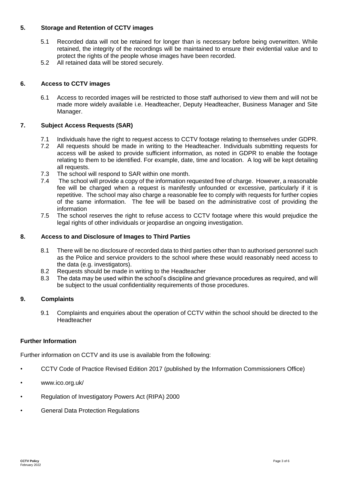## **5. Storage and Retention of CCTV images**

- 5.1 Recorded data will not be retained for longer than is necessary before being overwritten. While retained, the integrity of the recordings will be maintained to ensure their evidential value and to protect the rights of the people whose images have been recorded.
- 5.2 All retained data will be stored securely.

### **6. Access to CCTV images**

6.1 Access to recorded images will be restricted to those staff authorised to view them and will not be made more widely available i.e. Headteacher, Deputy Headteacher, Business Manager and Site Manager.

### **7. Subject Access Requests (SAR)**

- 7.1 Individuals have the right to request access to CCTV footage relating to themselves under GDPR.
- 7.2 All requests should be made in writing to the Headteacher. Individuals submitting requests for access will be asked to provide sufficient information, as noted in GDPR to enable the footage relating to them to be identified. For example, date, time and location. A log will be kept detailing all requests.
- 7.3 The school will respond to SAR within one month.
- 7.4 The school will provide a copy of the information requested free of charge. However, a reasonable fee will be charged when a request is manifestly unfounded or excessive, particularly if it is repetitive. The school may also charge a reasonable fee to comply with requests for further copies of the same information. The fee will be based on the administrative cost of providing the information
- 7.5 The school reserves the right to refuse access to CCTV footage where this would prejudice the legal rights of other individuals or jeopardise an ongoing investigation.

### **8. Access to and Disclosure of Images to Third Parties**

- 8.1 There will be no disclosure of recorded data to third parties other than to authorised personnel such as the Police and service providers to the school where these would reasonably need access to the data (e.g. investigators).
- 8.2 Requests should be made in writing to the Headteacher
- 8.3 The data may be used within the school's discipline and grievance procedures as required, and will be subject to the usual confidentiality requirements of those procedures.

### **9. Complaints**

9.1 Complaints and enquiries about the operation of CCTV within the school should be directed to the Headteacher

### **Further Information**

Further information on CCTV and its use is available from the following:

- CCTV Code of Practice Revised Edition 2017 (published by the Information Commissioners Office)
- www.ico.org.uk/
- Regulation of Investigatory Powers Act (RIPA) 2000
- General Data Protection Regulations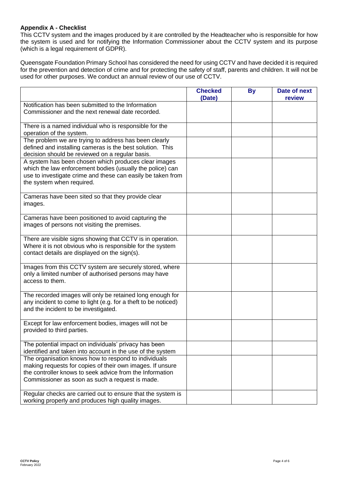## **Appendix A - Checklist**

This CCTV system and the images produced by it are controlled by the Headteacher who is responsible for how the system is used and for notifying the Information Commissioner about the CCTV system and its purpose (which is a legal requirement of GDPR).

Queensgate Foundation Primary School has considered the need for using CCTV and have decided it is required for the prevention and detection of crime and for protecting the safety of staff, parents and children. It will not be used for other purposes. We conduct an annual review of our use of CCTV.

|                                                                                                                                                                                                                                  | <b>Checked</b><br>(Date) | <b>By</b> | Date of next<br>review |
|----------------------------------------------------------------------------------------------------------------------------------------------------------------------------------------------------------------------------------|--------------------------|-----------|------------------------|
| Notification has been submitted to the Information<br>Commissioner and the next renewal date recorded.                                                                                                                           |                          |           |                        |
| There is a named individual who is responsible for the<br>operation of the system.                                                                                                                                               |                          |           |                        |
| The problem we are trying to address has been clearly<br>defined and installing cameras is the best solution. This<br>decision should be reviewed on a regular basis.                                                            |                          |           |                        |
| A system has been chosen which produces clear images<br>which the law enforcement bodies (usually the police) can<br>use to investigate crime and these can easily be taken from<br>the system when required.                    |                          |           |                        |
| Cameras have been sited so that they provide clear<br>images.                                                                                                                                                                    |                          |           |                        |
| Cameras have been positioned to avoid capturing the<br>images of persons not visiting the premises.                                                                                                                              |                          |           |                        |
| There are visible signs showing that CCTV is in operation.<br>Where it is not obvious who is responsible for the system<br>contact details are displayed on the sign(s).                                                         |                          |           |                        |
| Images from this CCTV system are securely stored, where<br>only a limited number of authorised persons may have<br>access to them.                                                                                               |                          |           |                        |
| The recorded images will only be retained long enough for<br>any incident to come to light (e.g. for a theft to be noticed)<br>and the incident to be investigated.                                                              |                          |           |                        |
| Except for law enforcement bodies, images will not be<br>provided to third parties.                                                                                                                                              |                          |           |                        |
| The potential impact on individuals' privacy has been<br>identified and taken into account in the use of the system                                                                                                              |                          |           |                        |
| The organisation knows how to respond to individuals<br>making requests for copies of their own images. If unsure<br>the controller knows to seek advice from the Information<br>Commissioner as soon as such a request is made. |                          |           |                        |
| Regular checks are carried out to ensure that the system is<br>working properly and produces high quality images.                                                                                                                |                          |           |                        |